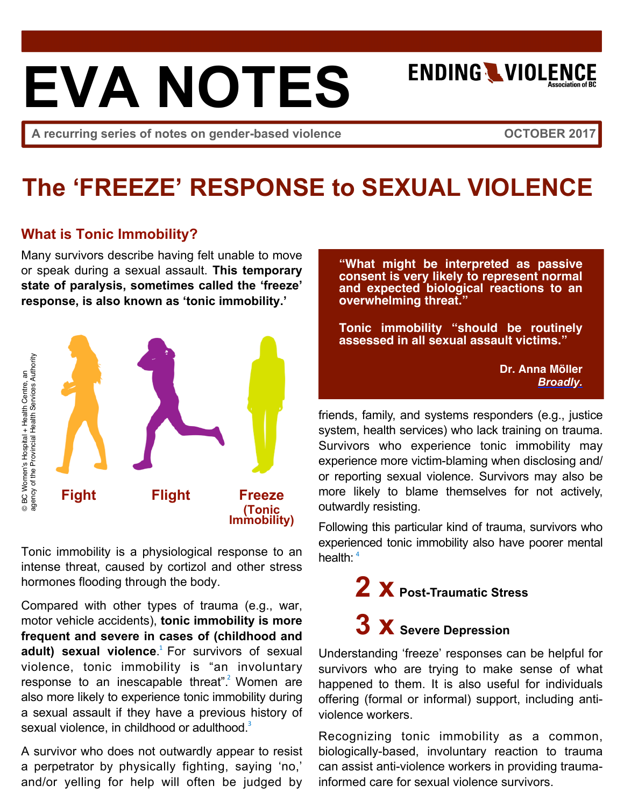# **EVA NOTES**

**ENDING WIOLENCE** 

A recurring series of notes on gender-based violence **The COUTOBER 2017** 

### **The 'FREEZE' RESPONSE to SEXUAL VIOLENCE**

#### **What is Tonic Immobility?**

Many survivors describe having felt unable to move or speak during a sexual assault. **This temporary state of paralysis, sometimes called the 'freeze' response, is also known as 'tonic immobility.'**



Tonic immobility is a physiological response to an intense threat, caused by cortizol and other stress hormones flooding through the body.

Compared with other types of trauma (e.g., war, motor vehicle accidents), **tonic immobility is more frequent and severe in cases of (childhood and**  adult) sexual violence.<sup>1</sup> [F](http://dx.doi.org/10.1016/j.jad.2017.03.009)or survivors of sexual violence, tonic immobility is "an involuntary response to an inescapable threat".<sup>2</sup> [W](http://dx.doi.org/10.1016/j.yfrne.2016.04.001)omen are also more likely to experience tonic immobility during a sexual assault if they have a previous history of sexual violence, in childhood or adulthood.<sup>[3](http://dx.doi.org/10.1111/aogs.13174)</sup>

A survivor who does not outwardly appear to resist a perpetrator by physically fighting, saying 'no,' and/or yelling for help will often be judged by

**"What might be interpreted as passive consent is very likely to represent normal and expected biological reactions to an overwhelming threat."**

**Tonic immobility "should be routinely assessed in all sexual assault victims."**

> **Dr. Anna Möller** *[Broadly.](https://broadly.vice.com/en_us/article/a3ze4j/study-into-paralysis-shows-why-rape-victims-cant-just-fight-back)*

friends, family, and systems responders (e.g., justice system, health services) who lack training on trauma. Survivors who experience tonic immobility may experience more victim-blaming when disclosing and/ or reporting sexual violence. Survivors may also be more likely to blame themselves for not actively, outwardly resisting.

Following this particular kind of trauma, survivors who experie[nce](http://dx.doi.org/10.1111/aogs.13174)d tonic immobility also have poorer mental health: <sup>4</sup>

## **2 x Post-Traumatic Stress 3 x Severe Depression**

Understanding 'freeze' responses can be helpful for survivors who are trying to make sense of what happened to them. It is also useful for individuals offering (formal or informal) support, including antiviolence workers.

Recognizing tonic immobility as a common, biologically-based, involuntary reaction to trauma can assist anti-violence workers in providing traumainformed care for sexual violence survivors.